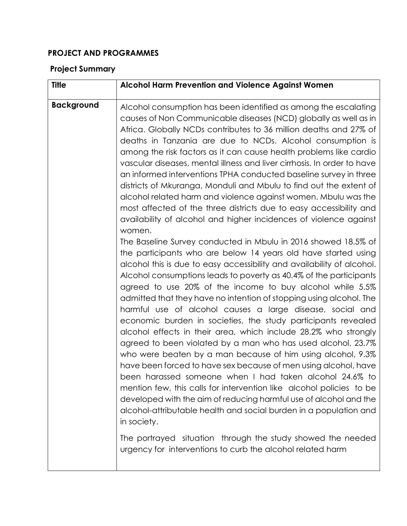## **PROJECT AND PROGRAMMES**

## **Project Summary**

| <b>Title</b>      | Alcohol Harm Prevention and Violence Against Women                                                                                                                                                                                                                                                                                                                                                                                                                                                                                                                                                                                                                                                                                                                                                                                                                                                                                                                                                                                                                                                                                                                                                                                                                                                                                                                                                                                                                                                                                                                                                                                                                                                                                                                                                                                                                                                                                                                                                                                            |
|-------------------|-----------------------------------------------------------------------------------------------------------------------------------------------------------------------------------------------------------------------------------------------------------------------------------------------------------------------------------------------------------------------------------------------------------------------------------------------------------------------------------------------------------------------------------------------------------------------------------------------------------------------------------------------------------------------------------------------------------------------------------------------------------------------------------------------------------------------------------------------------------------------------------------------------------------------------------------------------------------------------------------------------------------------------------------------------------------------------------------------------------------------------------------------------------------------------------------------------------------------------------------------------------------------------------------------------------------------------------------------------------------------------------------------------------------------------------------------------------------------------------------------------------------------------------------------------------------------------------------------------------------------------------------------------------------------------------------------------------------------------------------------------------------------------------------------------------------------------------------------------------------------------------------------------------------------------------------------------------------------------------------------------------------------------------------------|
| <b>Background</b> | Alcohol consumption has been identified as among the escalating<br>causes of Non Communicable diseases (NCD) globally as well as in<br>Africa. Globally NCDs contributes to 36 million deaths and 27% of<br>deaths in Tanzania are due to NCDs. Alcohol consumption is<br>among the risk factors as it can cause health problems like cardio<br>vascular diseases, mental illness and liver cirrhosis. In order to have<br>an informed interventions TPHA conducted baseline survey in three<br>districts of Mkuranga, Monduli and Mbulu to find out the extent of<br>alcohol related harm and violence against women. Mbulu was the<br>most affected of the three districts due to easy accessibility and<br>availability of alcohol and higher incidences of violence against<br>women.<br>The Baseline Survey conducted in Mbulu in 2016 showed 18.5% of<br>the participants who are below 14 years old have started using<br>alcohol this is due to easy accessibility and availability of alcohol.<br>Alcohol consumptions leads to poverty as 40.4% of the participants<br>agreed to use 20% of the income to buy alcohol while 5.5%<br>admitted that they have no intention of stopping using alcohol. The<br>harmful use of alcohol causes a large disease, social and<br>economic burden in societies, the study participants revealed<br>alcohol effects in their area, which include 28.2% who strongly<br>agreed to been violated by a man who has used alcohol, 23.7%<br>who were beaten by a man because of him using alcohol, 9.3%<br>have been forced to have sex because of men using alcohol, have<br>been harassed someone when I had taken alcohol 24.6% to<br>mention few, this calls for intervention like alcohol policies to be<br>developed with the aim of reducing harmful use of alcohol and the<br>alcohol-attributable health and social burden in a population and<br>in society.<br>The portrayed situation through the study showed the needed<br>urgency for interventions to curb the alcohol related harm |